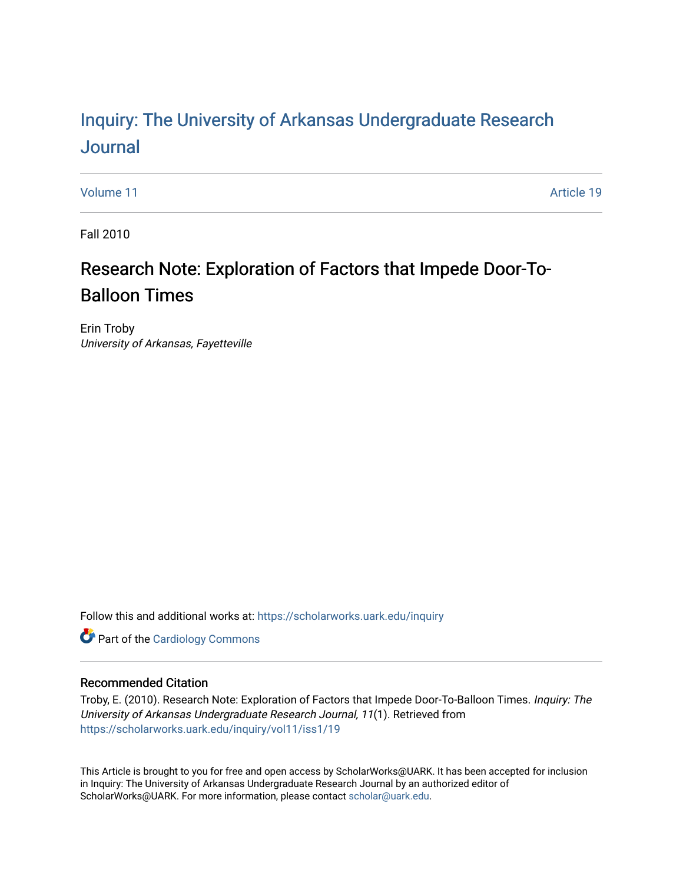# Inquiry: The Univ[ersity of Arkansas Undergraduate Resear](https://scholarworks.uark.edu/inquiry)ch [Journal](https://scholarworks.uark.edu/inquiry)

[Volume 11](https://scholarworks.uark.edu/inquiry/vol11) Article 19

Fall 2010

# Research Note: Exploration of Factors that Impede Door-To-Balloon Times

Erin Troby University of Arkansas, Fayetteville

Follow this and additional works at: [https://scholarworks.uark.edu/inquiry](https://scholarworks.uark.edu/inquiry?utm_source=scholarworks.uark.edu%2Finquiry%2Fvol11%2Fiss1%2F19&utm_medium=PDF&utm_campaign=PDFCoverPages)

**Part of the [Cardiology Commons](http://network.bepress.com/hgg/discipline/683?utm_source=scholarworks.uark.edu%2Finquiry%2Fvol11%2Fiss1%2F19&utm_medium=PDF&utm_campaign=PDFCoverPages)** 

# Recommended Citation

Troby, E. (2010). Research Note: Exploration of Factors that Impede Door-To-Balloon Times. Inquiry: The University of Arkansas Undergraduate Research Journal, 11(1). Retrieved from [https://scholarworks.uark.edu/inquiry/vol11/iss1/19](https://scholarworks.uark.edu/inquiry/vol11/iss1/19?utm_source=scholarworks.uark.edu%2Finquiry%2Fvol11%2Fiss1%2F19&utm_medium=PDF&utm_campaign=PDFCoverPages)

This Article is brought to you for free and open access by ScholarWorks@UARK. It has been accepted for inclusion in Inquiry: The University of Arkansas Undergraduate Research Journal by an authorized editor of ScholarWorks@UARK. For more information, please contact [scholar@uark.edu](mailto:scholar@uark.edu).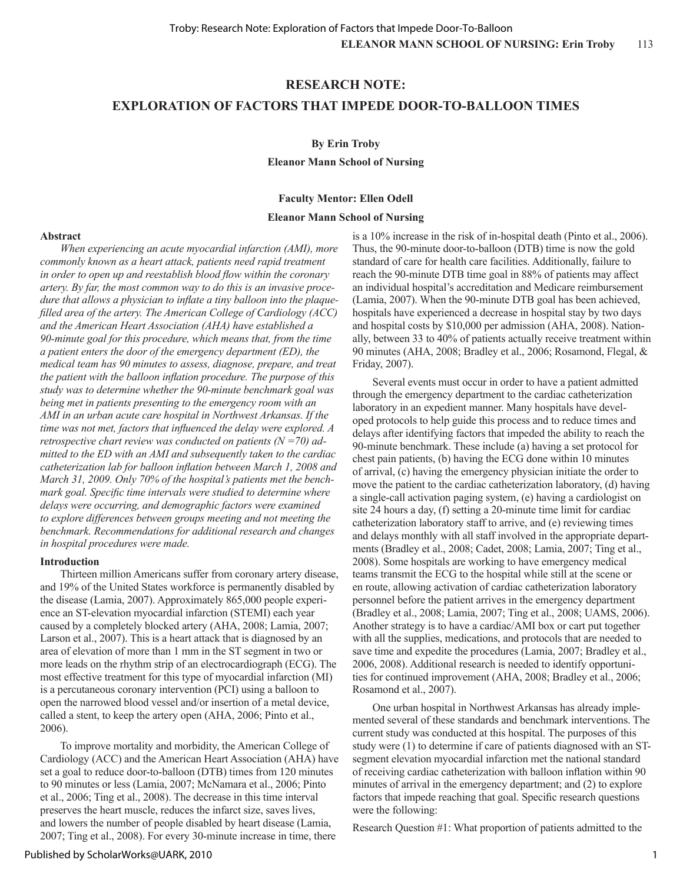## **RESEARCH NOTE:**

# **EXPLORATION OF FACTORS THAT IMPEDE DOOR-TO-BALLOON TIMES**

#### **By Erin Troby**

**Eleanor Mann School of Nursing**

### **Faculty Mentor: Ellen Odell**

#### **Eleanor Mann School of Nursing**

### **Abstract**

*When experiencing an acute myocardial infarction (AMI), more commonly known as a heart attack, patients need rapid treatment in order to open up and reestablish blood flow within the coronary artery. By far, the most common way to do this is an invasive procedure that allows a physician to inflate a tiny balloon into the plaquefilled area of the artery. The American College of Cardiology (ACC) and the American Heart Association (AHA) have established a 90-minute goal for this procedure, which means that, from the time a patient enters the door of the emergency department (ED), the medical team has 90 minutes to assess, diagnose, prepare, and treat the patient with the balloon inflation procedure. The purpose of this study was to determine whether the 90-minute benchmark goal was being met in patients presenting to the emergency room with an AMI in an urban acute care hospital in Northwest Arkansas. If the time was not met, factors that influenced the delay were explored. A retrospective chart review was conducted on patients (N =70) admitted to the ED with an AMI and subsequently taken to the cardiac catheterization lab for balloon inflation between March 1, 2008 and March 31, 2009. Only 70% of the hospital's patients met the benchmark goal. Specific time intervals were studied to determine where delays were occurring, and demographic factors were examined to explore differences between groups meeting and not meeting the benchmark. Recommendations for additional research and changes in hospital procedures were made.*

#### **Introduction**

Thirteen million Americans suffer from coronary artery disease, and 19% of the United States workforce is permanently disabled by the disease (Lamia, 2007). Approximately 865,000 people experience an ST-elevation myocardial infarction (STEMI) each year caused by a completely blocked artery (AHA, 2008; Lamia, 2007; Larson et al., 2007). This is a heart attack that is diagnosed by an area of elevation of more than 1 mm in the ST segment in two or more leads on the rhythm strip of an electrocardiograph (ECG). The most effective treatment for this type of myocardial infarction (MI) is a percutaneous coronary intervention (PCI) using a balloon to open the narrowed blood vessel and/or insertion of a metal device, called a stent, to keep the artery open (AHA, 2006; Pinto et al., 2006).

To improve mortality and morbidity, the American College of Cardiology (ACC) and the American Heart Association (AHA) have set a goal to reduce door-to-balloon (DTB) times from 120 minutes to 90 minutes or less (Lamia, 2007; McNamara et al., 2006; Pinto et al., 2006; Ting et al., 2008). The decrease in this time interval preserves the heart muscle, reduces the infarct size, saves lives, and lowers the number of people disabled by heart disease (Lamia, 2007; Ting et al., 2008). For every 30-minute increase in time, there

is a 10% increase in the risk of in-hospital death (Pinto et al., 2006). Thus, the 90-minute door-to-balloon (DTB) time is now the gold standard of care for health care facilities. Additionally, failure to reach the 90-minute DTB time goal in 88% of patients may affect an individual hospital's accreditation and Medicare reimbursement (Lamia, 2007). When the 90-minute DTB goal has been achieved, hospitals have experienced a decrease in hospital stay by two days and hospital costs by \$10,000 per admission (AHA, 2008). Nationally, between 33 to 40% of patients actually receive treatment within 90 minutes (AHA, 2008; Bradley et al., 2006; Rosamond, Flegal, & Friday, 2007).

Several events must occur in order to have a patient admitted through the emergency department to the cardiac catheterization laboratory in an expedient manner. Many hospitals have developed protocols to help guide this process and to reduce times and delays after identifying factors that impeded the ability to reach the 90-minute benchmark. These include (a) having a set protocol for chest pain patients, (b) having the ECG done within 10 minutes of arrival, (c) having the emergency physician initiate the order to move the patient to the cardiac catheterization laboratory, (d) having a single-call activation paging system, (e) having a cardiologist on site 24 hours a day, (f) setting a 20-minute time limit for cardiac catheterization laboratory staff to arrive, and (e) reviewing times and delays monthly with all staff involved in the appropriate departments (Bradley et al., 2008; Cadet, 2008; Lamia, 2007; Ting et al., 2008). Some hospitals are working to have emergency medical teams transmit the ECG to the hospital while still at the scene or en route, allowing activation of cardiac catheterization laboratory personnel before the patient arrives in the emergency department (Bradley et al., 2008; Lamia, 2007; Ting et al., 2008; UAMS, 2006). Another strategy is to have a cardiac/AMI box or cart put together with all the supplies, medications, and protocols that are needed to save time and expedite the procedures (Lamia, 2007; Bradley et al., 2006, 2008). Additional research is needed to identify opportunities for continued improvement (AHA, 2008; Bradley et al., 2006; Rosamond et al., 2007).

One urban hospital in Northwest Arkansas has already implemented several of these standards and benchmark interventions. The current study was conducted at this hospital. The purposes of this study were (1) to determine if care of patients diagnosed with an STsegment elevation myocardial infarction met the national standard of receiving cardiac catheterization with balloon inflation within 90 minutes of arrival in the emergency department; and (2) to explore factors that impede reaching that goal. Specific research questions were the following:

Research Question #1: What proportion of patients admitted to the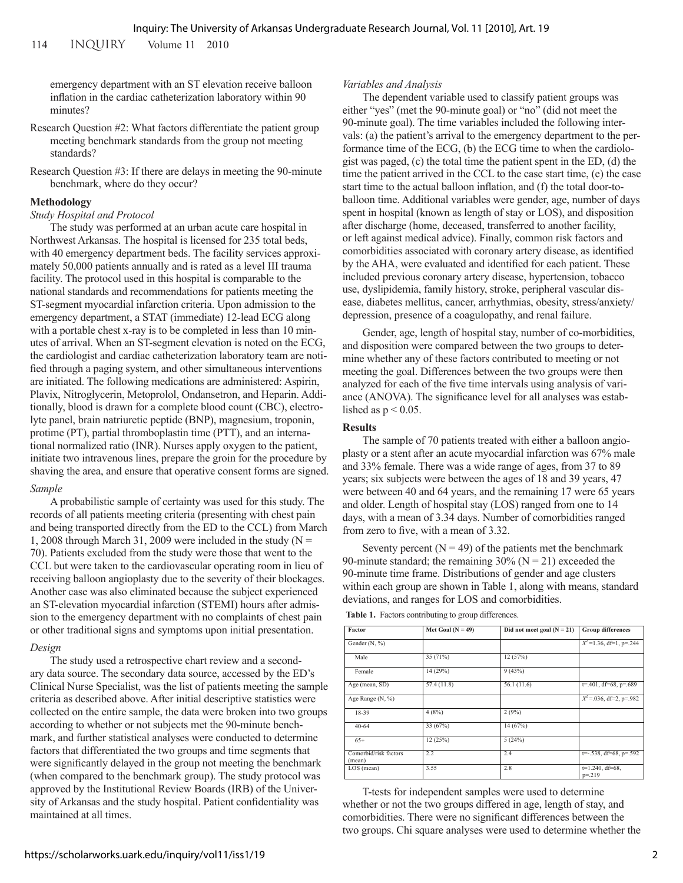114 inquiry Volume 11 2010

emergency department with an ST elevation receive balloon inflation in the cardiac catheterization laboratory within 90 minutes?

- Research Question #2: What factors differentiate the patient group meeting benchmark standards from the group not meeting standards?
- Research Question #3: If there are delays in meeting the 90-minute benchmark, where do they occur?

#### **Methodology**

#### *Study Hospital and Protocol*

The study was performed at an urban acute care hospital in Northwest Arkansas. The hospital is licensed for 235 total beds, with 40 emergency department beds. The facility services approximately 50,000 patients annually and is rated as a level III trauma facility. The protocol used in this hospital is comparable to the national standards and recommendations for patients meeting the ST-segment myocardial infarction criteria. Upon admission to the emergency department, a STAT (immediate) 12-lead ECG along with a portable chest x-ray is to be completed in less than 10 minutes of arrival. When an ST-segment elevation is noted on the ECG, the cardiologist and cardiac catheterization laboratory team are notified through a paging system, and other simultaneous interventions are initiated. The following medications are administered: Aspirin, Plavix, Nitroglycerin, Metoprolol, Ondansetron, and Heparin. Additionally, blood is drawn for a complete blood count (CBC), electrolyte panel, brain natriuretic peptide (BNP), magnesium, troponin, protime (PT), partial thromboplastin time (PTT), and an international normalized ratio (INR). Nurses apply oxygen to the patient, initiate two intravenous lines, prepare the groin for the procedure by shaving the area, and ensure that operative consent forms are signed.

#### *Sample*

A probabilistic sample of certainty was used for this study. The records of all patients meeting criteria (presenting with chest pain and being transported directly from the ED to the CCL) from March 1, 2008 through March 31, 2009 were included in the study ( $N =$ 70). Patients excluded from the study were those that went to the CCL but were taken to the cardiovascular operating room in lieu of receiving balloon angioplasty due to the severity of their blockages. Another case was also eliminated because the subject experienced an ST-elevation myocardial infarction (STEMI) hours after admission to the emergency department with no complaints of chest pain or other traditional signs and symptoms upon initial presentation.

#### *Design*

The study used a retrospective chart review and a secondary data source. The secondary data source, accessed by the ED's Clinical Nurse Specialist, was the list of patients meeting the sample criteria as described above. After initial descriptive statistics were collected on the entire sample, the data were broken into two groups according to whether or not subjects met the 90-minute benchmark, and further statistical analyses were conducted to determine factors that differentiated the two groups and time segments that were significantly delayed in the group not meeting the benchmark (when compared to the benchmark group). The study protocol was approved by the Institutional Review Boards (IRB) of the University of Arkansas and the study hospital. Patient confidentiality was maintained at all times.

#### *Variables and Analysis*

The dependent variable used to classify patient groups was either "yes" (met the 90-minute goal) or "no" (did not meet the 90-minute goal). The time variables included the following intervals: (a) the patient's arrival to the emergency department to the performance time of the ECG, (b) the ECG time to when the cardiologist was paged, (c) the total time the patient spent in the ED, (d) the time the patient arrived in the CCL to the case start time, (e) the case start time to the actual balloon inflation, and (f) the total door-toballoon time. Additional variables were gender, age, number of days spent in hospital (known as length of stay or LOS), and disposition after discharge (home, deceased, transferred to another facility, or left against medical advice). Finally, common risk factors and comorbidities associated with coronary artery disease, as identified by the AHA, were evaluated and identified for each patient. These included previous coronary artery disease, hypertension, tobacco use, dyslipidemia, family history, stroke, peripheral vascular disease, diabetes mellitus, cancer, arrhythmias, obesity, stress/anxiety/ depression, presence of a coagulopathy, and renal failure.

Gender, age, length of hospital stay, number of co-morbidities, and disposition were compared between the two groups to determine whether any of these factors contributed to meeting or not meeting the goal. Differences between the two groups were then analyzed for each of the five time intervals using analysis of variance (ANOVA). The significance level for all analyses was established as  $p < 0.05$ .

#### **Results**

The sample of 70 patients treated with either a balloon angioplasty or a stent after an acute myocardial infarction was 67% male and 33% female. There was a wide range of ages, from 37 to 89 years; six subjects were between the ages of 18 and 39 years, 47 were between 40 and 64 years, and the remaining 17 were 65 years and older. Length of hospital stay (LOS) ranged from one to 14 days, with a mean of 3.34 days. Number of comorbidities ranged from zero to five, with a mean of 3.32.

Seventy percent  $(N = 49)$  of the patients met the benchmark 90-minute standard; the remaining  $30\%$  (N = 21) exceeded the 90-minute time frame. Distributions of gender and age clusters within each group are shown in Table 1, along with means, standard deviations, and ranges for LOS and comorbidities.

**Table 1.** Factors contributing to group differences.

| <b>Factor</b>                   | Met Goal ( $N = 49$ ) | Did not meet goal $(N = 21)$ | <b>Group differences</b><br>$X^2$ =1.36, df=1, p=.244 |  |
|---------------------------------|-----------------------|------------------------------|-------------------------------------------------------|--|
| Gender (N, %)                   |                       |                              |                                                       |  |
| Male                            | 35 (71%)              | 12(57%)                      |                                                       |  |
| Female                          | 14 (29%)              | 9(43%)                       |                                                       |  |
| Age (mean, SD)                  | 57.4 (11.8)           | 56.1 (11.6)                  | $t = 0.401$ , df=68, p=.689                           |  |
| Age Range (N, %)                |                       |                              | $\overline{X^2}$ = 036, df=2, p=.982                  |  |
| 18-39                           | 4(8%)                 | 2(9%)                        |                                                       |  |
| $40 - 64$                       | 33 (67%)              | 14(67%)                      |                                                       |  |
| $65+$                           | 12(25%)               | 5(24%)                       |                                                       |  |
| Comorbid/risk factors<br>(mean) | 2.2                   | 2.4                          | $t = -0.538$ , df=68, p=.592                          |  |
| $LOS$ (mean)                    | 3.55                  | 2.8                          | $t=1.240$ , df=68,<br>$p = 219$                       |  |

T-tests for independent samples were used to determine whether or not the two groups differed in age, length of stay, and comorbidities. There were no significant differences between the two groups. Chi square analyses were used to determine whether the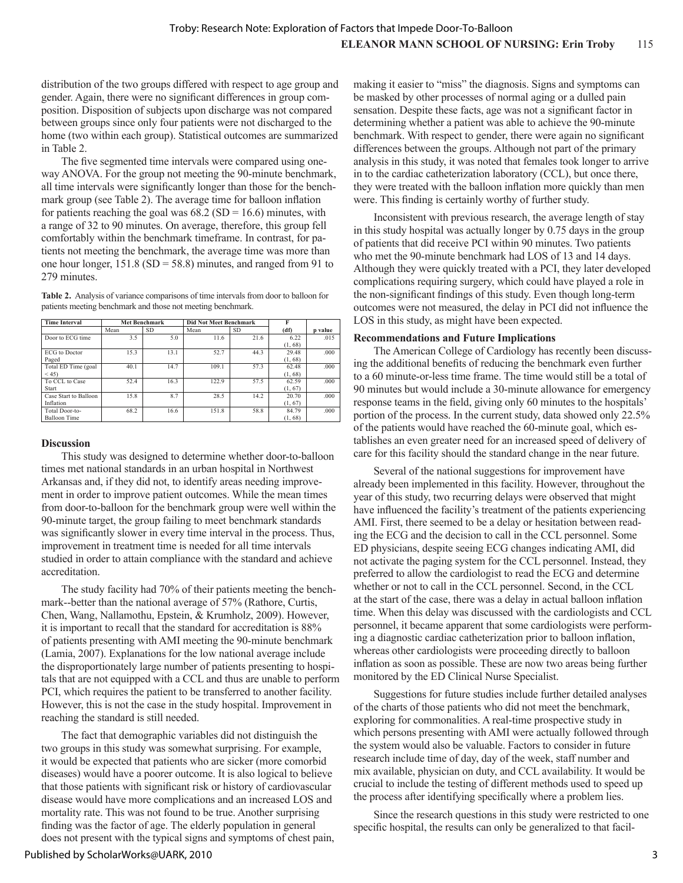distribution of the two groups differed with respect to age group and gender. Again, there were no significant differences in group composition. Disposition of subjects upon discharge was not compared between groups since only four patients were not discharged to the home (two within each group). Statistical outcomes are summarized in Table 2.

The five segmented time intervals were compared using oneway ANOVA. For the group not meeting the 90-minute benchmark, all time intervals were significantly longer than those for the benchmark group (see Table 2). The average time for balloon inflation for patients reaching the goal was  $68.2$  (SD = 16.6) minutes, with a range of 32 to 90 minutes. On average, therefore, this group fell comfortably within the benchmark timeframe. In contrast, for patients not meeting the benchmark, the average time was more than one hour longer,  $151.8$  (SD = 58.8) minutes, and ranged from 91 to 279 minutes.

**Table 2.** Analysis of variance comparisons of time intervals from door to balloon for patients meeting benchmark and those not meeting benchmark.

| <b>Time Interval</b>  | <b>Met Benchmark</b> |      | <b>Did Not Meet Benchmark</b> |      | F       |         |
|-----------------------|----------------------|------|-------------------------------|------|---------|---------|
|                       | Mean                 | SD.  | Mean                          | SD.  | (df)    | p value |
| Door to ECG time      | 3.5                  | 5.0  | 11.6                          | 21.6 | 6.22    | .015    |
|                       |                      |      |                               |      | (1, 68) |         |
| <b>ECG</b> to Doctor  | 15.3                 | 13.1 | 52.7                          | 44.3 | 29 48   | .000    |
| Paged                 |                      |      |                               |      | (1, 68) |         |
| Total ED Time (goal   | 40.1                 | 14.7 | 109.1                         | 57.3 | 62.48   | .000    |
| < 45                  |                      |      |                               |      | (1, 68) |         |
| To CCL to Case        | 52.4                 | 16.3 | 122.9                         | 57.5 | 62.59   | .000    |
| Start                 |                      |      |                               |      | (1, 67) |         |
| Case Start to Balloon | 15.8                 | 8.7  | 28.5                          | 14.2 | 20.70   | .000    |
| Inflation             |                      |      |                               |      | (1, 67) |         |
| Total Door-to-        | 68.2                 | 16.6 | 151.8                         | 58.8 | 84.79   | 000     |
| <b>Balloon Time</b>   |                      |      |                               |      | (1, 68) |         |

#### **Discussion**

This study was designed to determine whether door-to-balloon times met national standards in an urban hospital in Northwest Arkansas and, if they did not, to identify areas needing improvement in order to improve patient outcomes. While the mean times from door-to-balloon for the benchmark group were well within the 90-minute target, the group failing to meet benchmark standards was significantly slower in every time interval in the process. Thus, improvement in treatment time is needed for all time intervals studied in order to attain compliance with the standard and achieve accreditation.

The study facility had 70% of their patients meeting the benchmark--better than the national average of 57% (Rathore, Curtis, Chen, Wang, Nallamothu, Epstein, & Krumholz, 2009). However, it is important to recall that the standard for accreditation is 88% of patients presenting with AMI meeting the 90-minute benchmark (Lamia, 2007). Explanations for the low national average include the disproportionately large number of patients presenting to hospitals that are not equipped with a CCL and thus are unable to perform PCI, which requires the patient to be transferred to another facility. However, this is not the case in the study hospital. Improvement in reaching the standard is still needed.

The fact that demographic variables did not distinguish the two groups in this study was somewhat surprising. For example, it would be expected that patients who are sicker (more comorbid diseases) would have a poorer outcome. It is also logical to believe that those patients with significant risk or history of cardiovascular disease would have more complications and an increased LOS and mortality rate. This was not found to be true. Another surprising finding was the factor of age. The elderly population in general does not present with the typical signs and symptoms of chest pain,

making it easier to "miss" the diagnosis. Signs and symptoms can be masked by other processes of normal aging or a dulled pain sensation. Despite these facts, age was not a significant factor in determining whether a patient was able to achieve the 90-minute benchmark. With respect to gender, there were again no significant differences between the groups. Although not part of the primary analysis in this study, it was noted that females took longer to arrive in to the cardiac catheterization laboratory (CCL), but once there, they were treated with the balloon inflation more quickly than men were. This finding is certainly worthy of further study.

Inconsistent with previous research, the average length of stay in this study hospital was actually longer by 0.75 days in the group of patients that did receive PCI within 90 minutes. Two patients who met the 90-minute benchmark had LOS of 13 and 14 days. Although they were quickly treated with a PCI, they later developed complications requiring surgery, which could have played a role in the non-significant findings of this study. Even though long-term outcomes were not measured, the delay in PCI did not influence the LOS in this study, as might have been expected.

## **Recommendations and Future Implications**

The American College of Cardiology has recently been discussing the additional benefits of reducing the benchmark even further to a 60 minute-or-less time frame. The time would still be a total of 90 minutes but would include a 30-minute allowance for emergency response teams in the field, giving only 60 minutes to the hospitals' portion of the process. In the current study, data showed only 22.5% of the patients would have reached the 60-minute goal, which establishes an even greater need for an increased speed of delivery of care for this facility should the standard change in the near future.

Several of the national suggestions for improvement have already been implemented in this facility. However, throughout the year of this study, two recurring delays were observed that might have influenced the facility's treatment of the patients experiencing AMI. First, there seemed to be a delay or hesitation between reading the ECG and the decision to call in the CCL personnel. Some ED physicians, despite seeing ECG changes indicating AMI, did not activate the paging system for the CCL personnel. Instead, they preferred to allow the cardiologist to read the ECG and determine whether or not to call in the CCL personnel. Second, in the CCL at the start of the case, there was a delay in actual balloon inflation time. When this delay was discussed with the cardiologists and CCL personnel, it became apparent that some cardiologists were performing a diagnostic cardiac catheterization prior to balloon inflation, whereas other cardiologists were proceeding directly to balloon inflation as soon as possible. These are now two areas being further monitored by the ED Clinical Nurse Specialist.

Suggestions for future studies include further detailed analyses of the charts of those patients who did not meet the benchmark, exploring for commonalities. A real-time prospective study in which persons presenting with AMI were actually followed through the system would also be valuable. Factors to consider in future research include time of day, day of the week, staff number and mix available, physician on duty, and CCL availability. It would be crucial to include the testing of different methods used to speed up the process after identifying specifically where a problem lies.

Since the research questions in this study were restricted to one specific hospital, the results can only be generalized to that facil